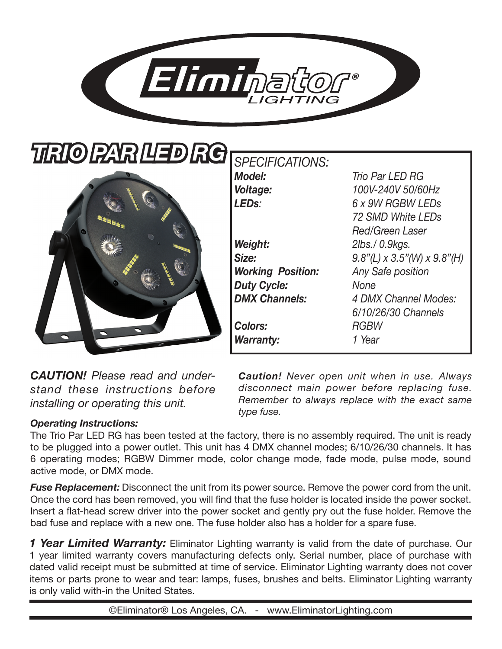

| TIRIO IPARI LED RGI |
|---------------------|
|                     |
| а                   |
|                     |
|                     |
|                     |
|                     |

 $SPECTICATIONS:$ 

*Model: Trio Par LED RG Voltage: 100V-240V 50/60Hz LEDs: 6 x 9W RGBW LEDs 72 SMD White LEDs Red/Green Laser Weight: 2lbs./ 0.9kgs. Size: 9.8"(L) x 3.5"(W) x 9.8"(H) Working Position: Any Safe position Duty Cycle: None DMX Channels: 4 DMX Channel Modes: 6/10/26/30 Channels Colors: RGBW Warranty: 1 Year*

*CAUTION! Please read and understand these instructions before installing or operating this unit.*

*Caution! Never open unit when in use. Always disconnect main power before replacing fuse. Remember to always replace with the exact same type fuse.* 

# *Operating Instructions:*

The Trio Par LED RG has been tested at the factory, there is no assembly required. The unit is ready to be plugged into a power outlet. This unit has 4 DMX channel modes; 6/10/26/30 channels. It has 6 operating modes; RGBW Dimmer mode, color change mode, fade mode, pulse mode, sound active mode, or DMX mode.

*Fuse Replacement:* Disconnect the unit from its power source. Remove the power cord from the unit. Once the cord has been removed, you will find that the fuse holder is located inside the power socket. Insert a flat-head screw driver into the power socket and gently pry out the fuse holder. Remove the bad fuse and replace with a new one. The fuse holder also has a holder for a spare fuse.

**1 Year Limited Warranty:** Eliminator Lighting warranty is valid from the date of purchase. Our 1 year limited warranty covers manufacturing defects only. Serial number, place of purchase with dated valid receipt must be submitted at time of service. Eliminator Lighting warranty does not cover items or parts prone to wear and tear: lamps, fuses, brushes and belts. Eliminator Lighting warranty is only valid with-in the United States.

©Eliminator® Los Angeles, CA. - www.EliminatorLighting.com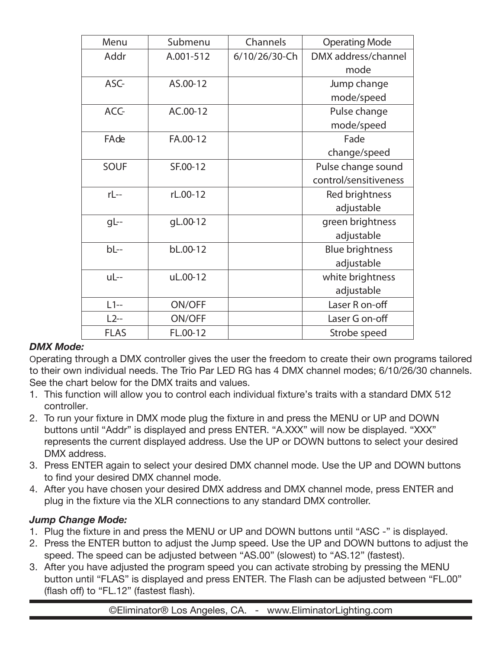| Menu        | Submenu   | Channels      | <b>Operating Mode</b>  |
|-------------|-----------|---------------|------------------------|
| Addr        | A.001-512 | 6/10/26/30-Ch | DMX address/channel    |
|             |           |               | mode                   |
| ASC-        | AS.00-12  |               | Jump change            |
|             |           |               | mode/speed             |
| ACC-        | AC.00-12  |               | Pulse change           |
|             |           |               | mode/speed             |
| FAde        | FA.00-12  |               | Fade                   |
|             |           |               | change/speed           |
| <b>SOUF</b> | SF.00-12  |               | Pulse change sound     |
|             |           |               | control/sensitiveness  |
| rL--        | rL.00-12  |               | Red brightness         |
|             |           |               | adjustable             |
| $gL-$       | gL.00-12  |               | green brightness       |
|             |           |               | adjustable             |
| $bl -$      | bL.00-12  |               | <b>Blue brightness</b> |
|             |           |               | adjustable             |
| uL--        | uL.00-12  |               | white brightness       |
|             |           |               | adjustable             |
| $L1-$       | ON/OFF    |               | Laser R on-off         |
| $L2-$       | ON/OFF    |               | Laser G on-off         |
| <b>FLAS</b> | FL.00-12  |               | Strobe speed           |

#### *DMX Mode:*

Operating through a DMX controller gives the user the freedom to create their own programs tailored to their own individual needs. The Trio Par LED RG has 4 DMX channel modes; 6/10/26/30 channels. See the chart below for the DMX traits and values.

- 1. This function will allow you to control each individual fixture's traits with a standard DMX 512 controller.
- 2. To run your fixture in DMX mode plug the fixture in and press the MENU or UP and DOWN buttons until "Addr" is displayed and press ENTER. "A.XXX" will now be displayed. "XXX" represents the current displayed address. Use the UP or DOWN buttons to select your desired DMX address.
- 3. Press ENTER again to select your desired DMX channel mode. Use the UP and DOWN buttons to find your desired DMX channel mode.
- 4. After you have chosen your desired DMX address and DMX channel mode, press ENTER and plug in the fixture via the XLR connections to any standard DMX controller.

#### *Jump Change Mode:*

- 1. Plug the fixture in and press the MENU or UP and DOWN buttons until "ASC -" is displayed.
- 2. Press the ENTER button to adjust the Jump speed. Use the UP and DOWN buttons to adjust the speed. The speed can be adjusted between "AS.00" (slowest) to "AS.12" (fastest).
- 3. After you have adjusted the program speed you can activate strobing by pressing the MENU button until "FLAS" is displayed and press ENTER. The Flash can be adjusted between "FL.00" (flash off) to "FL.12" (fastest flash).

©Eliminator® Los Angeles, CA. - www.EliminatorLighting.com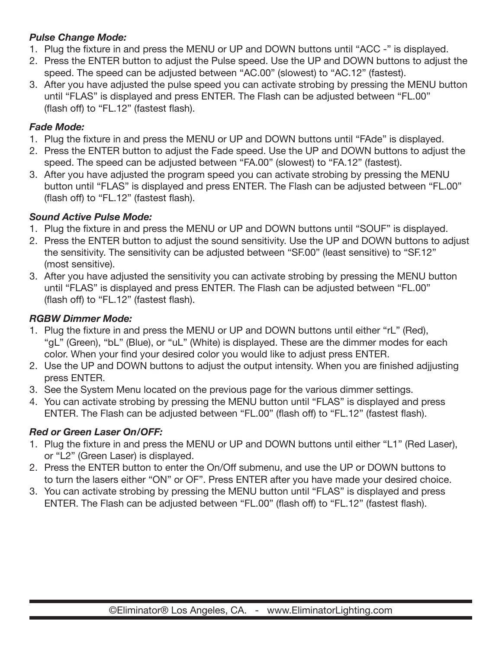# *Pulse Change Mode:*

- 1. Plug the fixture in and press the MENU or UP and DOWN buttons until "ACC -" is displayed.
- 2. Press the ENTER button to adjust the Pulse speed. Use the UP and DOWN buttons to adjust the speed. The speed can be adjusted between "AC.00" (slowest) to "AC.12" (fastest).
- 3. After you have adjusted the pulse speed you can activate strobing by pressing the MENU button until "FLAS" is displayed and press ENTER. The Flash can be adjusted between "FL.00" (flash off) to "FL.12" (fastest flash).

### *Fade Mode:*

- 1. Plug the fixture in and press the MENU or UP and DOWN buttons until "FAde" is displayed.
- 2. Press the ENTER button to adjust the Fade speed. Use the UP and DOWN buttons to adjust the speed. The speed can be adjusted between "FA.00" (slowest) to "FA.12" (fastest).
- 3. After you have adjusted the program speed you can activate strobing by pressing the MENU button until "FLAS" is displayed and press ENTER. The Flash can be adjusted between "FL.00" (flash off) to "FL.12" (fastest flash).

### *Sound Active Pulse Mode:*

- 1. Plug the fixture in and press the MENU or UP and DOWN buttons until "SOUF" is displayed.
- 2. Press the ENTER button to adjust the sound sensitivity. Use the UP and DOWN buttons to adjust the sensitivity. The sensitivity can be adjusted between "SF.00" (least sensitive) to "SF.12" (most sensitive).
- 3. After you have adjusted the sensitivity you can activate strobing by pressing the MENU button until "FLAS" is displayed and press ENTER. The Flash can be adjusted between "FL.00" (flash off) to "FL.12" (fastest flash).

# *RGBW Dimmer Mode:*

- 1. Plug the fixture in and press the MENU or UP and DOWN buttons until either "rL" (Red), "gL" (Green), "bL" (Blue), or "uL" (White) is displayed. These are the dimmer modes for each color. When your find your desired color you would like to adjust press ENTER.
- 2. Use the UP and DOWN buttons to adjust the output intensity. When you are finished adjjusting press ENTER.
- 3. See the System Menu located on the previous page for the various dimmer settings.
- 4. You can activate strobing by pressing the MENU button until "FLAS" is displayed and press ENTER. The Flash can be adjusted between "FL.00" (flash off) to "FL.12" (fastest flash).

# *Red or Green Laser On/OFF:*

- 1. Plug the fixture in and press the MENU or UP and DOWN buttons until either "L1" (Red Laser), or "L2" (Green Laser) is displayed.
- 2. Press the ENTER button to enter the On/Off submenu, and use the UP or DOWN buttons to to turn the lasers either "ON" or OF". Press ENTER after you have made your desired choice.
- 3. You can activate strobing by pressing the MENU button until "FLAS" is displayed and press ENTER. The Flash can be adjusted between "FL.00" (flash off) to "FL.12" (fastest flash).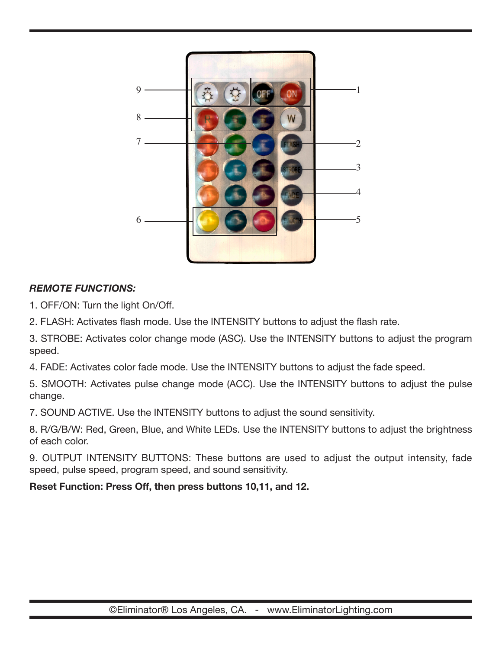

# *REMOTE FUNCTIONS:*

1. OFF/ON: Turn the light On/Off.

2. FLASH: Activates flash mode. Use the INTENSITY buttons to adjust the flash rate.

3. STROBE: Activates color change mode (ASC). Use the INTENSITY buttons to adjust the program speed.

4. FADE: Activates color fade mode. Use the INTENSITY buttons to adjust the fade speed.

5. SMOOTH: Activates pulse change mode (ACC). Use the INTENSITY buttons to adjust the pulse change.

7. SOUND ACTIVE. Use the INTENSITY buttons to adjust the sound sensitivity.

8. R/G/B/W: Red, Green, Blue, and White LEDs. Use the INTENSITY buttons to adjust the brightness of each color.

9. OUTPUT INTENSITY BUTTONS: These buttons are used to adjust the output intensity, fade speed, pulse speed, program speed, and sound sensitivity.

**Reset Function: Press Off, then press buttons 10,11, and 12.**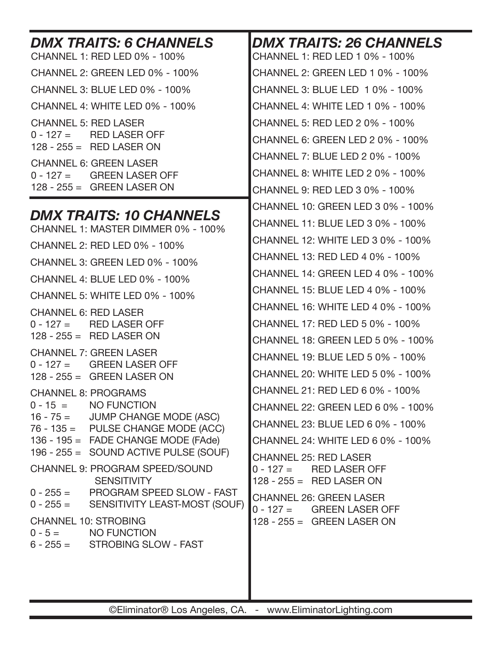| <b>DMX TRAITS: 6 CHANNELS</b><br><b>CHANNEL 1: RED LED 0% - 100%</b>       | <b>DMX TRAITS: 26 CHANNELS</b><br>CHANNEL 1: RED LED 1 0% - 100% |  |
|----------------------------------------------------------------------------|------------------------------------------------------------------|--|
| <b>CHANNEL 2: GREEN LED 0% - 100%</b>                                      | CHANNEL 2: GREEN LED 1 0% - 100%                                 |  |
| <b>CHANNEL 3: BLUE LED 0% - 100%</b>                                       | CHANNEL 3: BLUE LED 10% - 100%                                   |  |
| <b>CHANNEL 4: WHITE LED 0% - 100%</b>                                      | CHANNEL 4: WHITE LED 1 0% - 100%                                 |  |
| <b>CHANNEL 5: RED LASER</b>                                                | CHANNEL 5: RED LED 2 0% - 100%                                   |  |
| $0 - 127 =$ RED LASER OFF<br>$128 - 255 =$ RED LASER ON                    | CHANNEL 6: GREEN LED 2 0% - 100%                                 |  |
| <b>CHANNEL 6: GREEN LASER</b>                                              | CHANNEL 7: BLUE LED 2 0% - 100%                                  |  |
| $0 - 127 =$ GREEN LASER OFF                                                | CHANNEL 8: WHITE LED 2 0% - 100%                                 |  |
| $128 - 255 =$ GREEN LASER ON                                               | CHANNEL 9: RED LED 3 0% - 100%                                   |  |
|                                                                            | CHANNEL 10: GREEN LED 3 0% - 100%                                |  |
| <b>DMX TRAITS: 10 CHANNELS</b><br>CHANNEL 1: MASTER DIMMER 0% - 100%       | CHANNEL 11: BLUE LED 3 0% - 100%                                 |  |
| CHANNEL 2: RED LED 0% - 100%                                               | CHANNEL 12: WHITE LED 3 0% - 100%                                |  |
| <b>CHANNEL 3: GREEN LED 0% - 100%</b>                                      | CHANNEL 13: RED LED 4 0% - 100%                                  |  |
| <b>CHANNEL 4: BLUE LED 0% - 100%</b>                                       | CHANNEL 14: GREEN LED 4 0% - 100%                                |  |
| CHANNEL 5: WHITE LED 0% - 100%                                             | CHANNEL 15: BLUE LED 4 0% - 100%                                 |  |
| <b>CHANNEL 6: RED LASER</b>                                                | CHANNEL 16: WHITE LED 4 0% - 100%                                |  |
| $0 - 127 =$<br><b>RED LASER OFF</b>                                        | CHANNEL 17: RED LED 5 0% - 100%                                  |  |
| $128 - 255 =$ RED LASER ON                                                 | CHANNEL 18: GREEN LED 5 0% - 100%                                |  |
| <b>CHANNEL 7: GREEN LASER</b><br><b>GREEN LASER OFF</b><br>$0 - 127 =$     | CHANNEL 19: BLUE LED 5 0% - 100%                                 |  |
| $128 - 255 =$ GREEN LASER ON                                               | CHANNEL 20: WHITE LED 5 0% - 100%                                |  |
| <b>CHANNEL 8: PROGRAMS</b>                                                 | CHANNEL 21: RED LED 6 0% - 100%                                  |  |
| $0 - 15 = NO FUNCTION$                                                     | CHANNEL 22: GREEN LED 6 0% - 100%                                |  |
| $16 - 75 =$ JUMP CHANGE MODE (ASC)<br>$76 - 135 =$ PULSE CHANGE MODE (ACC) | CHANNEL 23: BLUE LED 6 0% - 100%                                 |  |
| 136 - 195 = FADE CHANGE MODE (FAde)                                        | CHANNEL 24: WHITE LED 6 0% - 100%                                |  |
| 196 - 255 = SOUND ACTIVE PULSE (SOUF)                                      | <b>CHANNEL 25: RED LASER</b>                                     |  |
| <b>CHANNEL 9: PROGRAM SPEED/SOUND</b><br><b>SENSITIVITY</b>                | $0 - 127 =$ RED LASER OFF<br>$128 - 255 =$ RED LASER ON          |  |
| 0 - 255 = PROGRAM SPEED SLOW - FAST                                        | <b>CHANNEL 26: GREEN LASER</b>                                   |  |
| $0 - 255 =$<br>SENSITIVITY LEAST-MOST (SOUF)                               | $0 - 127 =$ GREEN LASER OFF                                      |  |
| <b>CHANNEL 10: STROBING</b><br>$0 - 5 =$ NO FUNCTION                       | $128 - 255 =$ GREEN LASER ON                                     |  |
| $6 - 255 =$ STROBING SLOW - FAST                                           |                                                                  |  |
|                                                                            |                                                                  |  |
|                                                                            |                                                                  |  |